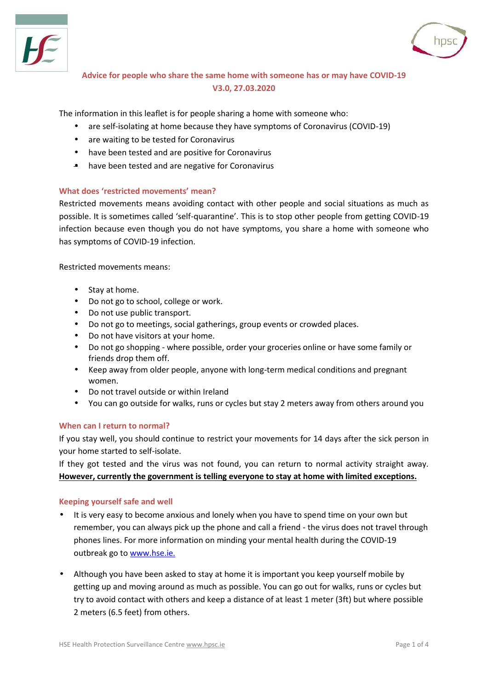



# **Advice for people who share the same home with someone has or may have COVID-19 V3.0, 27.03.2020**

The information in this leaflet is for people sharing a home with someone who:

- are self-isolating at home because they have symptoms of Coronavirus (COVID-19)
- are waiting to be tested for Coronavirus
- have been tested and are positive for Coronavirus
- have been tested and are negative for Coronavirus

## **What does 'restricted movements' mean?**

Restricted movements means avoiding contact with other people and social situations as much as possible. It is sometimes called 'self-quarantine'. This is to stop other people from getting COVID-19 infection because even though you do not have symptoms, you share a home with someone who has symptoms of COVID-19 infection.

Restricted movements means:

- Stav at home.
- Do not go to school, college or work.
- Do not use public transport.
- Do not go to meetings, social gatherings, group events or crowded places.
- Do not have visitors at your home.
- Do not go shopping where possible, order your groceries online or have some family or friends drop them off.
- Keep away from older people, anyone with long-term medical conditions and pregnant women.
- Do not travel outside or within Ireland
- You can go outside for walks, runs or cycles but stay 2 meters away from others around you

## **When can I return to normal?**

If you stay well, you should continue to restrict your movements for 14 days after the sick person in your home started to self-isolate.

If they got tested and the virus was not found, you can return to normal activity straight away. **However, currently the government is telling everyone to stay at home with limited exceptions.**

### **Keeping yourself safe and well**

- It is very easy to become anxious and lonely when you have to spend time on your own but remember, you can always pick up the phone and call a friend - the virus does not travel through phones lines. For more information on minding your mental health during the COVID-19 outbreak go to [www.hse.ie](https://www2.hse.ie/wellbeing/mental-health/minding-your-mental-health-during-the-coronavirus-outbreak.html).
- Although you have been asked to stay at home it is important you keep yourself mobile by getting up and moving around as much as possible. You can go out for walks, runs or cycles but try to avoid contact with others and keep a distance of at least 1 meter (3ft) but where possible 2 meters (6.5 feet) from others.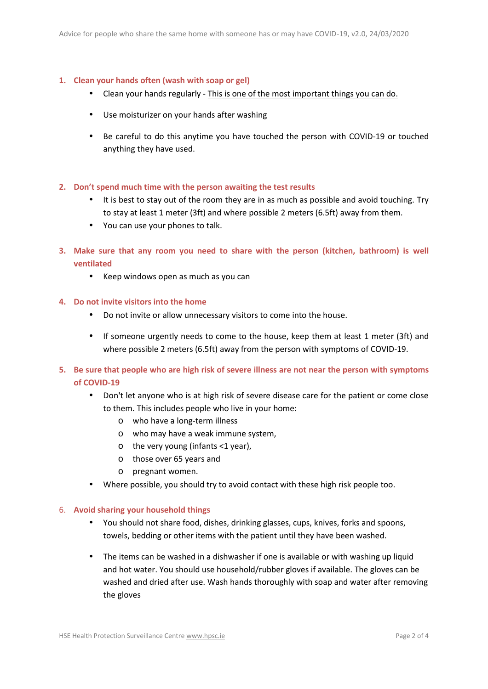## **1. Clean your hands often (wash with soap or gel)**

- Clean your hands regularly This is one of the most important things you can do.
- Use moisturizer on your hands after washing
- Be careful to do this anytime you have touched the person with COVID-19 or touched anything they have used.
- **2. Don't spend much time with the person awaiting the test results**
	- It is best to stay out of the room they are in as much as possible and avoid touching. Try to stay at least 1 meter (3ft) and where possible 2 meters (6.5ft) away from them.
	- You can use your phones to talk.
- **3. Make sure that any room you need to share with the person (kitchen, bathroom) is well ventilated**
	- Keep windows open as much as you can
- **4. Do not invite visitors into the home**
	- Do not invite or allow unnecessary visitors to come into the house.
	- If someone urgently needs to come to the house, keep them at least 1 meter (3ft) and where possible 2 meters (6.5ft) away from the person with symptoms of COVID-19.
- **5. Be sure that people who are high risk of severe illness are not near the person with symptoms of COVID-19**
	- Don't let anyone who is at high risk of severe disease care for the patient or come close to them. This includes people who live in your home:
		- o who have a long-term illness
		- o who may have a weak immune system,
		- o the very young (infants <1 year),
		- o those over 65 years and
		- o pregnant women.
	- Where possible, you should try to avoid contact with these high risk people too.

### 6. **Avoid sharing your household things**

- You should not share food, dishes, drinking glasses, cups, knives, forks and spoons, towels, bedding or other items with the patient until they have been washed.
- The items can be washed in a dishwasher if one is available or with washing up liquid and hot water. You should use household/rubber gloves if available. The gloves can be washed and dried after use. Wash hands thoroughly with soap and water after removing the gloves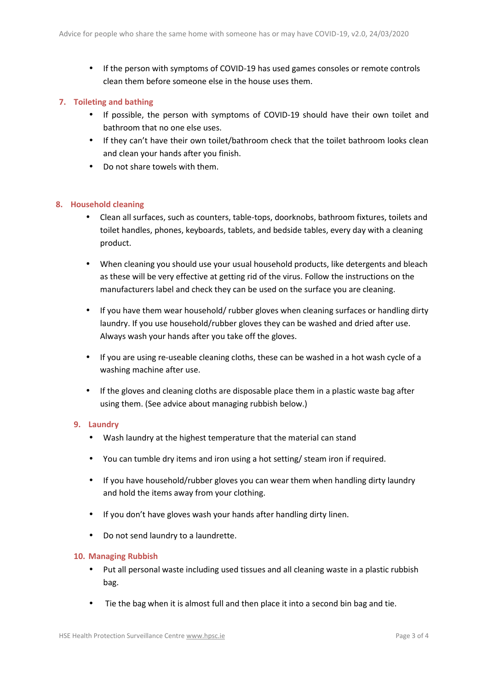If the person with symptoms of COVID-19 has used games consoles or remote controls clean them before someone else in the house uses them.

## **7. Toileting and bathing**

- If possible, the person with symptoms of COVID-19 should have their own toilet and bathroom that no one else uses.
- If they can't have their own toilet/bathroom check that the toilet bathroom looks clean and clean your hands after you finish.
- Do not share towels with them.

## **8. Household cleaning**

- Clean all surfaces, such as counters, table-tops, doorknobs, bathroom fixtures, toilets and toilet handles, phones, keyboards, tablets, and bedside tables, every day with a cleaning product.
- When cleaning you should use your usual household products, like detergents and bleach as these will be very effective at getting rid of the virus. Follow the instructions on the manufacturers label and check they can be used on the surface you are cleaning.
- If you have them wear household/ rubber gloves when cleaning surfaces or handling dirty laundry. If you use household/rubber gloves they can be washed and dried after use. Always wash your hands after you take off the gloves.
- If you are using re-useable cleaning cloths, these can be washed in a hot wash cycle of a washing machine after use.
- If the gloves and cleaning cloths are disposable place them in a plastic waste bag after using them. (See advice about managing rubbish below.)

### **9. Laundry**

- Wash laundry at the highest temperature that the material can stand
- You can tumble dry items and iron using a hot setting/ steam iron if required.
- If you have household/rubber gloves you can wear them when handling dirty laundry and hold the items away from your clothing.
- If you don't have gloves wash your hands after handling dirty linen.
- Do not send laundry to a laundrette.

### **10. Managing Rubbish**

- Put all personal waste including used tissues and all cleaning waste in a plastic rubbish bag.
- Tie the bag when it is almost full and then place it into a second bin bag and tie.